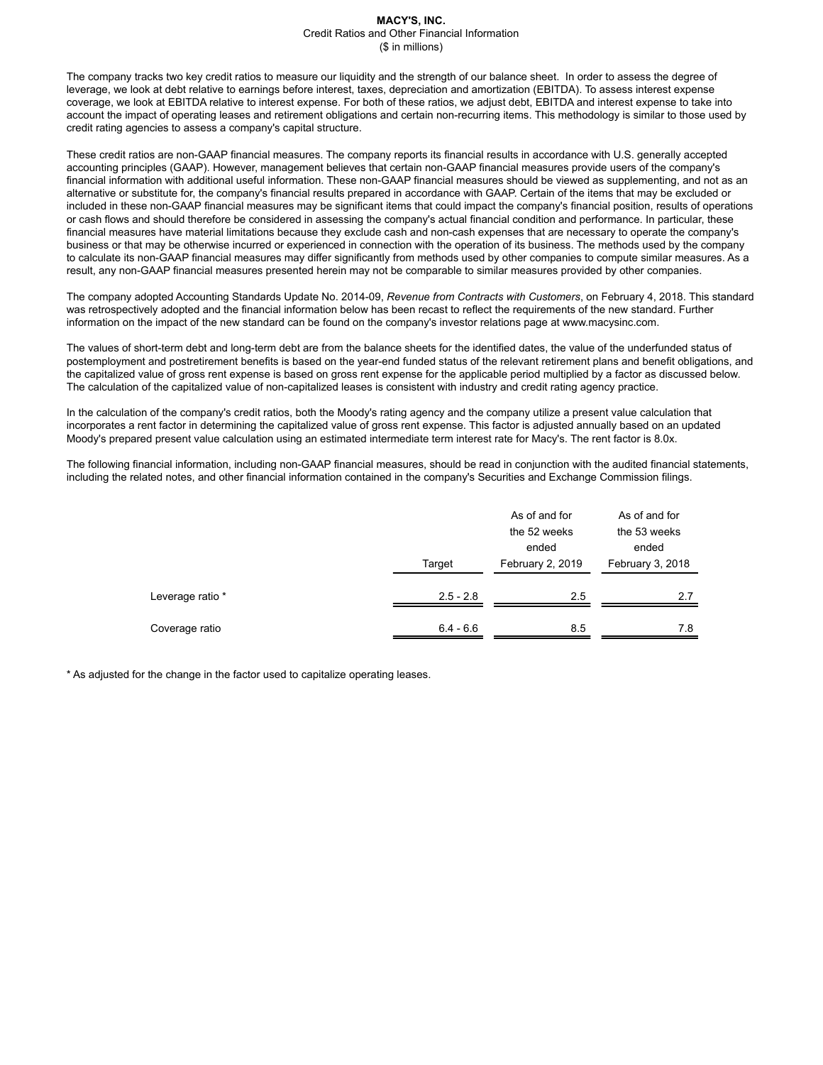The company tracks two key credit ratios to measure our liquidity and the strength of our balance sheet. In order to assess the degree of leverage, we look at debt relative to earnings before interest, taxes, depreciation and amortization (EBITDA). To assess interest expense coverage, we look at EBITDA relative to interest expense. For both of these ratios, we adjust debt, EBITDA and interest expense to take into account the impact of operating leases and retirement obligations and certain non-recurring items. This methodology is similar to those used by credit rating agencies to assess a company's capital structure.

These credit ratios are non-GAAP financial measures. The company reports its financial results in accordance with U.S. generally accepted accounting principles (GAAP). However, management believes that certain non-GAAP financial measures provide users of the company's financial information with additional useful information. These non-GAAP financial measures should be viewed as supplementing, and not as an alternative or substitute for, the company's financial results prepared in accordance with GAAP. Certain of the items that may be excluded or included in these non-GAAP financial measures may be significant items that could impact the company's financial position, results of operations or cash flows and should therefore be considered in assessing the company's actual financial condition and performance. In particular, these financial measures have material limitations because they exclude cash and non-cash expenses that are necessary to operate the company's business or that may be otherwise incurred or experienced in connection with the operation of its business. The methods used by the company to calculate its non-GAAP financial measures may differ significantly from methods used by other companies to compute similar measures. As a result, any non-GAAP financial measures presented herein may not be comparable to similar measures provided by other companies.

The company adopted Accounting Standards Update No. 2014-09, *Revenue from Contracts with Customers*, on February 4, 2018. This standard was retrospectively adopted and the financial information below has been recast to reflect the requirements of the new standard. Further information on the impact of the new standard can be found on the company's investor relations page at www.macysinc.com.

The values of short-term debt and long-term debt are from the balance sheets for the identified dates, the value of the underfunded status of postemployment and postretirement benefits is based on the year-end funded status of the relevant retirement plans and benefit obligations, and the capitalized value of gross rent expense is based on gross rent expense for the applicable period multiplied by a factor as discussed below. The calculation of the capitalized value of non-capitalized leases is consistent with industry and credit rating agency practice.

In the calculation of the company's credit ratios, both the Moody's rating agency and the company utilize a present value calculation that incorporates a rent factor in determining the capitalized value of gross rent expense. This factor is adjusted annually based on an updated Moody's prepared present value calculation using an estimated intermediate term interest rate for Macy's. The rent factor is 8.0x.

The following financial information, including non-GAAP financial measures, should be read in conjunction with the audited financial statements, including the related notes, and other financial information contained in the company's Securities and Exchange Commission filings.

|                  |             | As of and for<br>the 52 weeks | As of and for<br>the 53 weeks |
|------------------|-------------|-------------------------------|-------------------------------|
|                  | Target      | ended<br>February 2, 2019     | ended<br>February 3, 2018     |
|                  |             |                               |                               |
| Leverage ratio * | $2.5 - 2.8$ | 2.5                           | 2.7                           |
| Coverage ratio   | $6.4 - 6.6$ | 8.5                           | 7.8                           |

\* As adjusted for the change in the factor used to capitalize operating leases.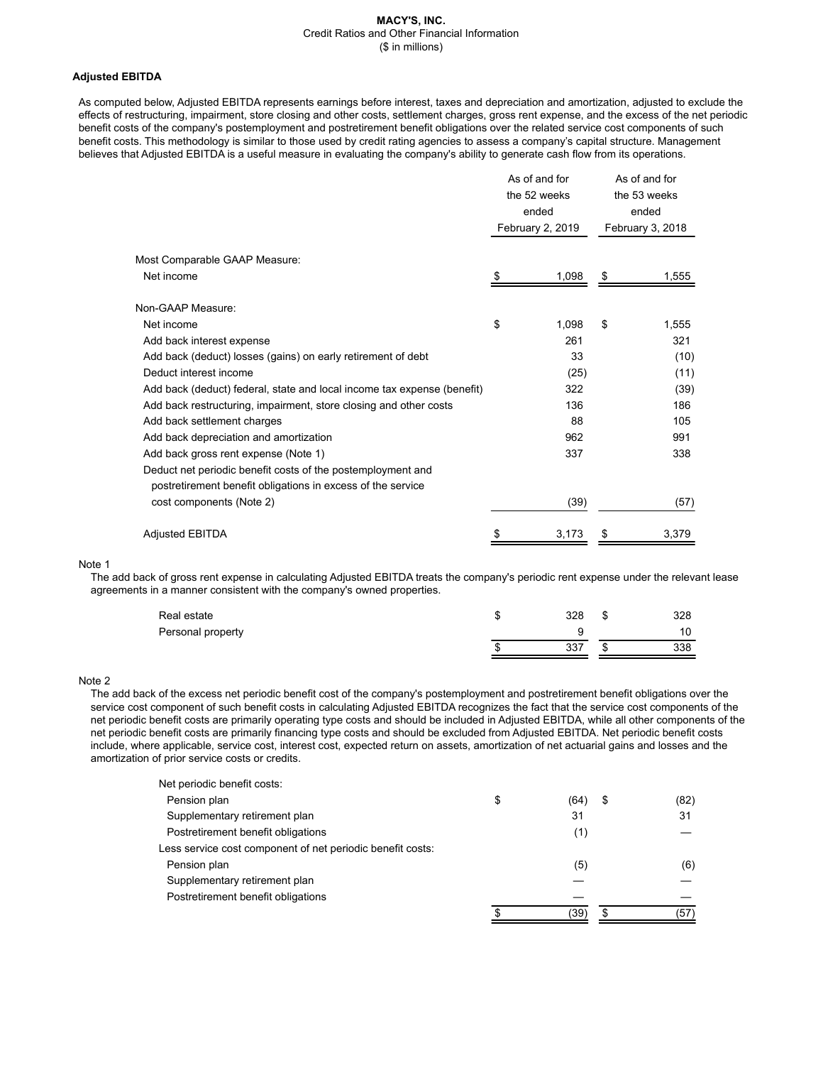## **Adjusted EBITDA**

As computed below, Adjusted EBITDA represents earnings before interest, taxes and depreciation and amortization, adjusted to exclude the effects of restructuring, impairment, store closing and other costs, settlement charges, gross rent expense, and the excess of the net periodic benefit costs of the company's postemployment and postretirement benefit obligations over the related service cost components of such benefit costs. This methodology is similar to those used by credit rating agencies to assess a company's capital structure. Management believes that Adjusted EBITDA is a useful measure in evaluating the company's ability to generate cash flow from its operations.

|                                                                         | As of and for<br>the 52 weeks<br>ended<br>February 2, 2019 |       | As of and for<br>the 53 weeks<br>ended<br>February 3, 2018 |       |
|-------------------------------------------------------------------------|------------------------------------------------------------|-------|------------------------------------------------------------|-------|
| Most Comparable GAAP Measure:                                           |                                                            |       |                                                            |       |
| Net income                                                              | \$                                                         | 1,098 | \$                                                         | 1,555 |
| Non-GAAP Measure:                                                       |                                                            |       |                                                            |       |
| Net income                                                              | \$                                                         | 1,098 | \$                                                         | 1,555 |
| Add back interest expense                                               |                                                            | 261   |                                                            | 321   |
| Add back (deduct) losses (gains) on early retirement of debt            |                                                            | 33    |                                                            | (10)  |
| Deduct interest income                                                  |                                                            | (25)  |                                                            | (11)  |
| Add back (deduct) federal, state and local income tax expense (benefit) |                                                            | 322   |                                                            | (39)  |
| Add back restructuring, impairment, store closing and other costs       |                                                            | 136   |                                                            | 186   |
| Add back settlement charges                                             |                                                            | 88    |                                                            | 105   |
| Add back depreciation and amortization                                  |                                                            | 962   |                                                            | 991   |
| Add back gross rent expense (Note 1)                                    |                                                            | 337   |                                                            | 338   |
| Deduct net periodic benefit costs of the postemployment and             |                                                            |       |                                                            |       |
| postretirement benefit obligations in excess of the service             |                                                            |       |                                                            |       |
| cost components (Note 2)                                                |                                                            | (39)  |                                                            | (57)  |
| <b>Adjusted EBITDA</b>                                                  |                                                            | 3,173 |                                                            | 3,379 |

#### Note 1

The add back of gross rent expense in calculating Adjusted EBITDA treats the company's periodic rent expense under the relevant lease agreements in a manner consistent with the company's owned properties.

| Real estate       | 328 | \$<br>328 |
|-------------------|-----|-----------|
| Personal property |     |           |
|                   | 337 | 338       |

### Note 2

The add back of the excess net periodic benefit cost of the company's postemployment and postretirement benefit obligations over the service cost component of such benefit costs in calculating Adjusted EBITDA recognizes the fact that the service cost components of the net periodic benefit costs are primarily operating type costs and should be included in Adjusted EBITDA, while all other components of the net periodic benefit costs are primarily financing type costs and should be excluded from Adjusted EBITDA. Net periodic benefit costs include, where applicable, service cost, interest cost, expected return on assets, amortization of net actuarial gains and losses and the amortization of prior service costs or credits.

| Net periodic benefit costs:                                |            |            |
|------------------------------------------------------------|------------|------------|
| Pension plan                                               | \$<br>(64) | \$<br>(82) |
| Supplementary retirement plan                              | 31         | 31         |
| Postretirement benefit obligations                         | (1)        |            |
| Less service cost component of net periodic benefit costs: |            |            |
| Pension plan                                               | (5)        | (6)        |
| Supplementary retirement plan                              |            |            |
| Postretirement benefit obligations                         |            |            |
|                                                            | '39'       | \$<br>(57) |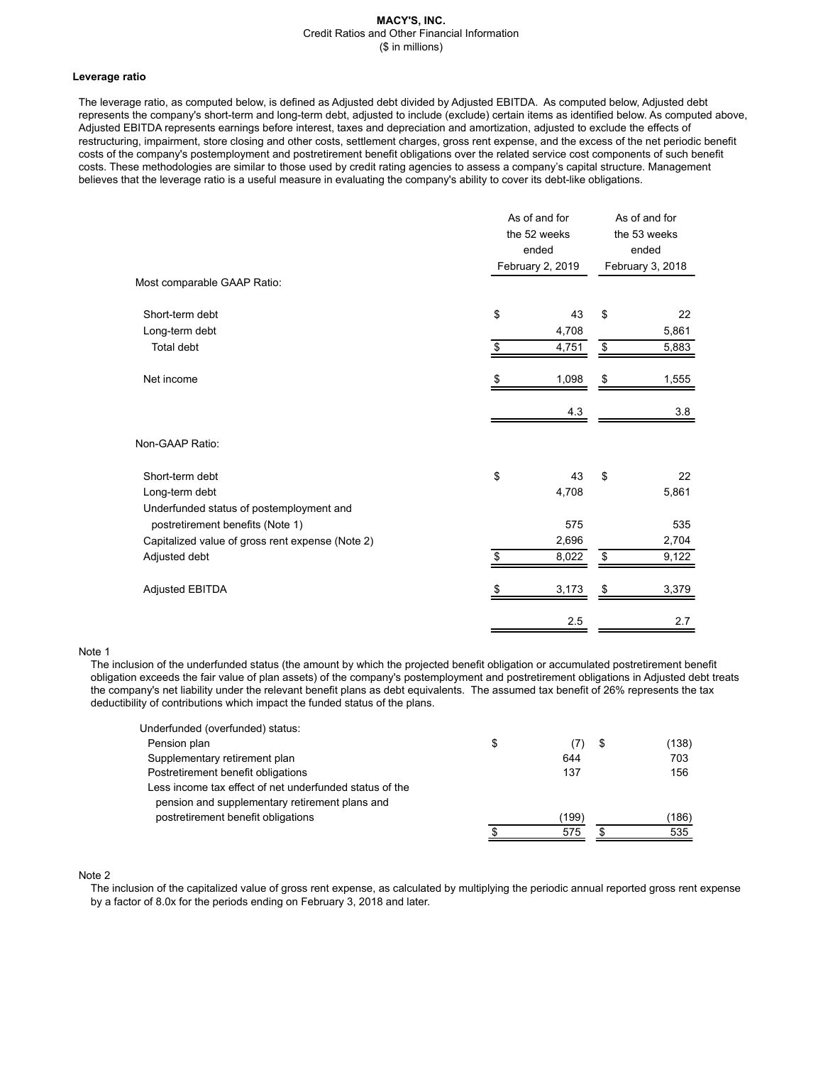#### **Leverage ratio**

The leverage ratio, as computed below, is defined as Adjusted debt divided by Adjusted EBITDA. As computed below, Adjusted debt represents the company's short-term and long-term debt, adjusted to include (exclude) certain items as identified below. As computed above, Adjusted EBITDA represents earnings before interest, taxes and depreciation and amortization, adjusted to exclude the effects of restructuring, impairment, store closing and other costs, settlement charges, gross rent expense, and the excess of the net periodic benefit costs of the company's postemployment and postretirement benefit obligations over the related service cost components of such benefit costs. These methodologies are similar to those used by credit rating agencies to assess a company's capital structure. Management believes that the leverage ratio is a useful measure in evaluating the company's ability to cover its debt-like obligations.

| Most comparable GAAP Ratio:                      | As of and for<br>the 52 weeks<br>ended<br>February 2, 2019 |       | As of and for<br>the 53 weeks<br>ended<br>February 3, 2018 |       |
|--------------------------------------------------|------------------------------------------------------------|-------|------------------------------------------------------------|-------|
|                                                  |                                                            |       |                                                            |       |
| Short-term debt                                  | \$                                                         | 43    | \$                                                         | 22    |
| Long-term debt                                   |                                                            | 4,708 |                                                            | 5,861 |
| Total debt                                       | \$                                                         | 4,751 | \$                                                         | 5,883 |
| Net income                                       | S                                                          | 1,098 | \$                                                         | 1,555 |
|                                                  |                                                            | 4.3   |                                                            | 3.8   |
| Non-GAAP Ratio:                                  |                                                            |       |                                                            |       |
| Short-term debt                                  | \$                                                         | 43    | \$                                                         | 22    |
| Long-term debt                                   |                                                            | 4,708 |                                                            | 5,861 |
| Underfunded status of postemployment and         |                                                            |       |                                                            |       |
| postretirement benefits (Note 1)                 |                                                            | 575   |                                                            | 535   |
| Capitalized value of gross rent expense (Note 2) |                                                            | 2,696 |                                                            | 2,704 |
| Adjusted debt                                    | \$                                                         | 8,022 | \$                                                         | 9,122 |
| Adjusted EBITDA                                  |                                                            | 3,173 | S                                                          | 3,379 |
|                                                  |                                                            | 2.5   |                                                            | 2.7   |

#### Note 1

The inclusion of the underfunded status (the amount by which the projected benefit obligation or accumulated postretirement benefit obligation exceeds the fair value of plan assets) of the company's postemployment and postretirement obligations in Adjusted debt treats the company's net liability under the relevant benefit plans as debt equivalents. The assumed tax benefit of 26% represents the tax deductibility of contributions which impact the funded status of the plans.

| Underfunded (overfunded) status:                                                                          |           |   |       |
|-----------------------------------------------------------------------------------------------------------|-----------|---|-------|
| Pension plan                                                                                              | \$<br>(7) | S | (138) |
| Supplementary retirement plan                                                                             | 644       |   | 703   |
| Postretirement benefit obligations                                                                        | 137       |   | 156   |
| Less income tax effect of net underfunded status of the<br>pension and supplementary retirement plans and |           |   |       |
| postretirement benefit obligations                                                                        | (199)     |   | (186) |
|                                                                                                           | 575       |   | 535   |

# Note 2

The inclusion of the capitalized value of gross rent expense, as calculated by multiplying the periodic annual reported gross rent expense by a factor of 8.0x for the periods ending on February 3, 2018 and later.